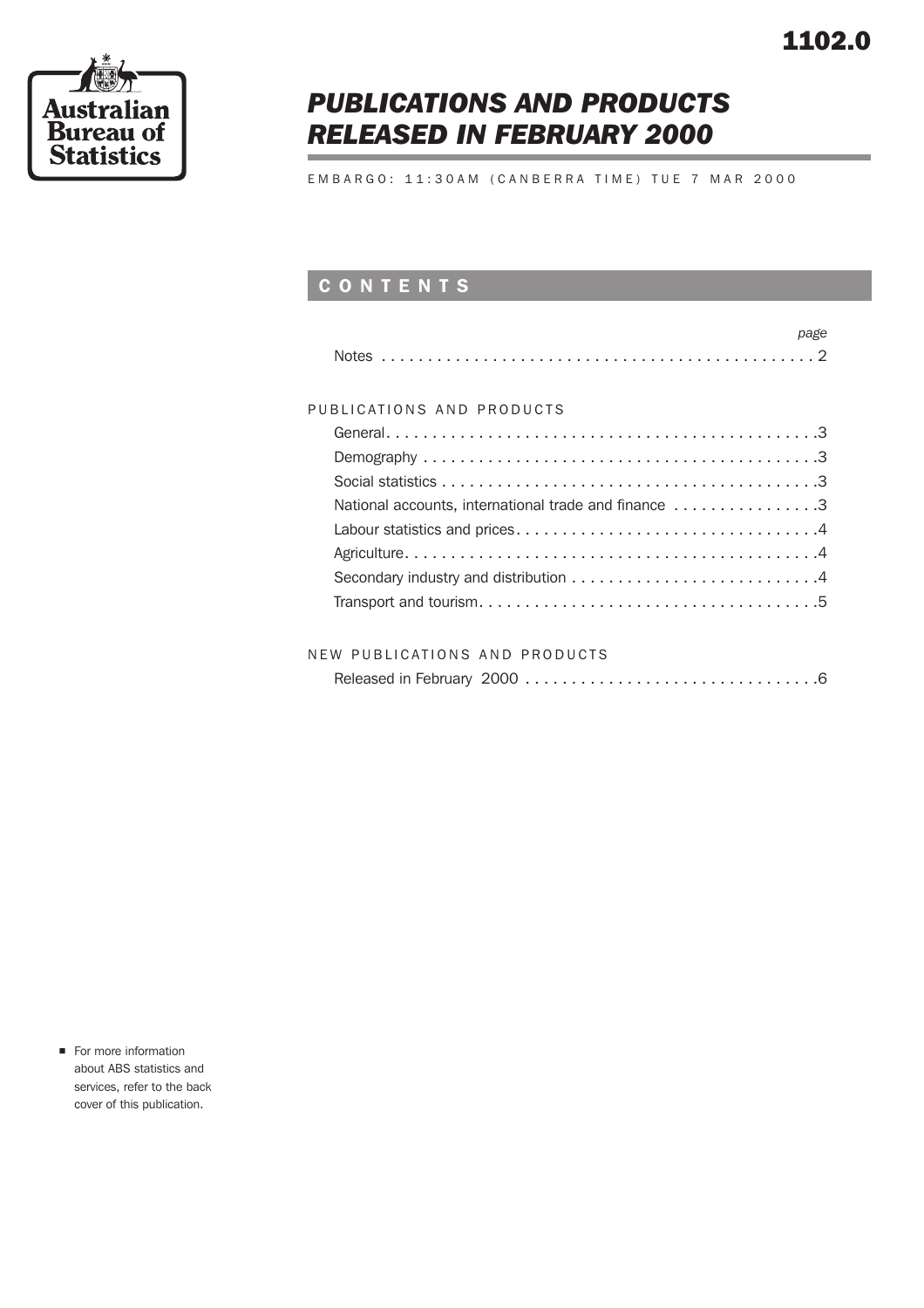

# *PUBLICATIONS AND PRODUCTS RELEASED IN FEBRUARY 2000*

EMBARGO: 11:30AM (CANBERRA TIME) TUE 7 MAR 2000

## CONTENTS

| page                                                 |
|------------------------------------------------------|
|                                                      |
|                                                      |
| PUBLICATIONS AND PRODUCTS                            |
|                                                      |
|                                                      |
|                                                      |
| National accounts, international trade and finance 3 |
|                                                      |
|                                                      |
|                                                      |
|                                                      |
|                                                      |
|                                                      |

| NEW PUBLICATIONS AND PRODUCTS |  |
|-------------------------------|--|
|                               |  |

|--|--|--|

**n** For more information about ABS statistics and services, refer to the back cover of this publication.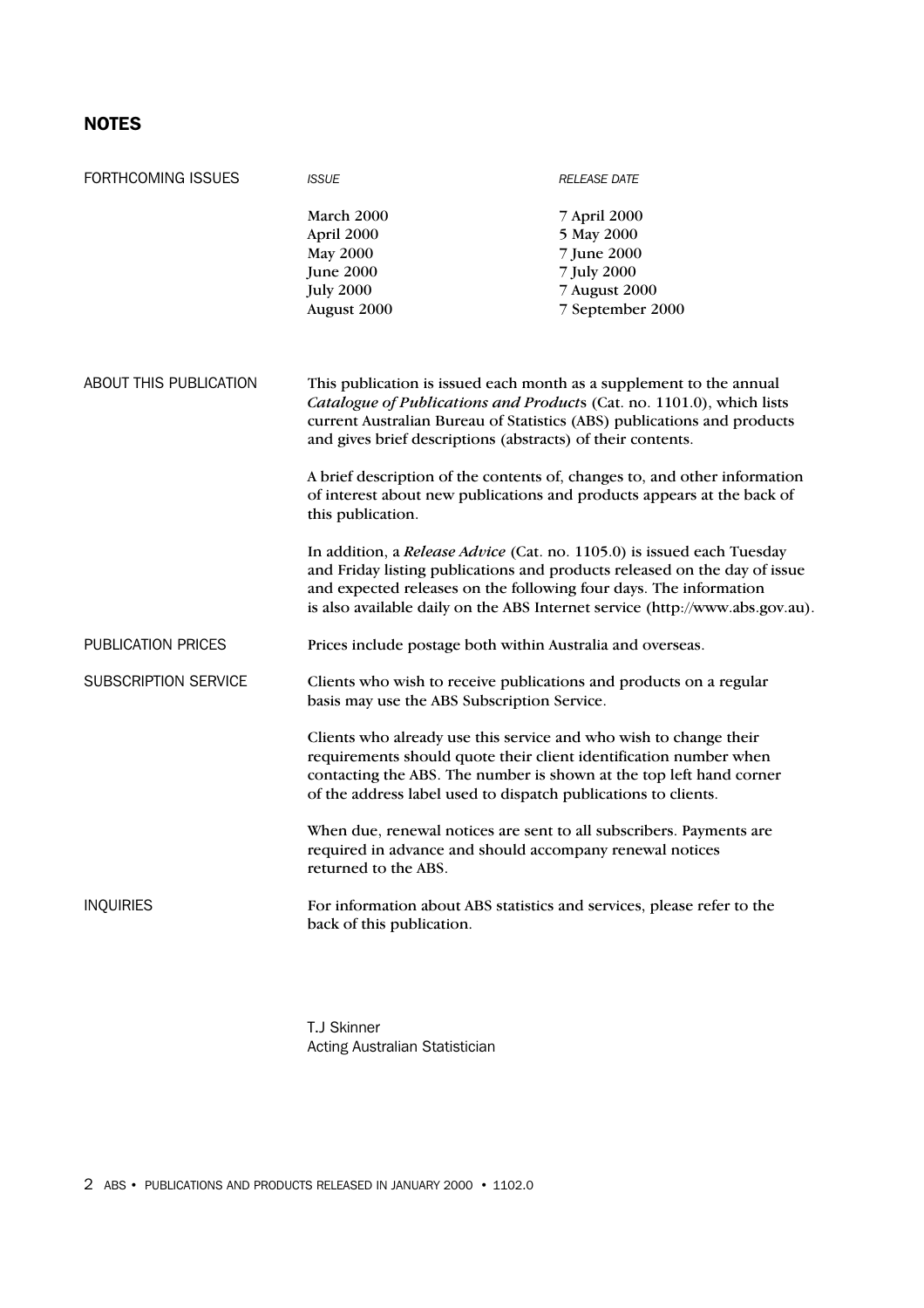### NOTES

| FORTHCOMING ISSUES          | <b>ISSUE</b>                                                                                                                                                                                                                                                                                                                                                                                         | <b>RELEASE DATE</b>                                                                                                                                       |  |
|-----------------------------|------------------------------------------------------------------------------------------------------------------------------------------------------------------------------------------------------------------------------------------------------------------------------------------------------------------------------------------------------------------------------------------------------|-----------------------------------------------------------------------------------------------------------------------------------------------------------|--|
|                             | March 2000<br>April 2000<br><b>May 2000</b><br><b>June 2000</b><br><b>July 2000</b><br>August 2000                                                                                                                                                                                                                                                                                                   | 7 April 2000<br>5 May 2000<br>7 June 2000<br>7 July 2000<br>7 August 2000<br>7 September 2000                                                             |  |
| ABOUT THIS PUBLICATION      | This publication is issued each month as a supplement to the annual<br>Catalogue of Publications and Products (Cat. no. 1101.0), which lists<br>current Australian Bureau of Statistics (ABS) publications and products<br>and gives brief descriptions (abstracts) of their contents.                                                                                                               |                                                                                                                                                           |  |
|                             | A brief description of the contents of, changes to, and other information<br>of interest about new publications and products appears at the back of<br>this publication.                                                                                                                                                                                                                             |                                                                                                                                                           |  |
|                             | In addition, a Release Advice (Cat. no. 1105.0) is issued each Tuesday<br>and expected releases on the following four days. The information                                                                                                                                                                                                                                                          | and Friday listing publications and products released on the day of issue<br>is also available daily on the ABS Internet service (http://www.abs.gov.au). |  |
| PUBLICATION PRICES          | Prices include postage both within Australia and overseas.                                                                                                                                                                                                                                                                                                                                           |                                                                                                                                                           |  |
| <b>SUBSCRIPTION SERVICE</b> | Clients who wish to receive publications and products on a regular<br>basis may use the ABS Subscription Service.<br>Clients who already use this service and who wish to change their<br>requirements should quote their client identification number when<br>contacting the ABS. The number is shown at the top left hand corner<br>of the address label used to dispatch publications to clients. |                                                                                                                                                           |  |
|                             |                                                                                                                                                                                                                                                                                                                                                                                                      |                                                                                                                                                           |  |
|                             | When due, renewal notices are sent to all subscribers. Payments are<br>required in advance and should accompany renewal notices<br>returned to the ABS.                                                                                                                                                                                                                                              |                                                                                                                                                           |  |
| <b>INQUIRIES</b>            | For information about ABS statistics and services, please refer to the<br>back of this publication.                                                                                                                                                                                                                                                                                                  |                                                                                                                                                           |  |

T.J Skinner Acting Australian Statistician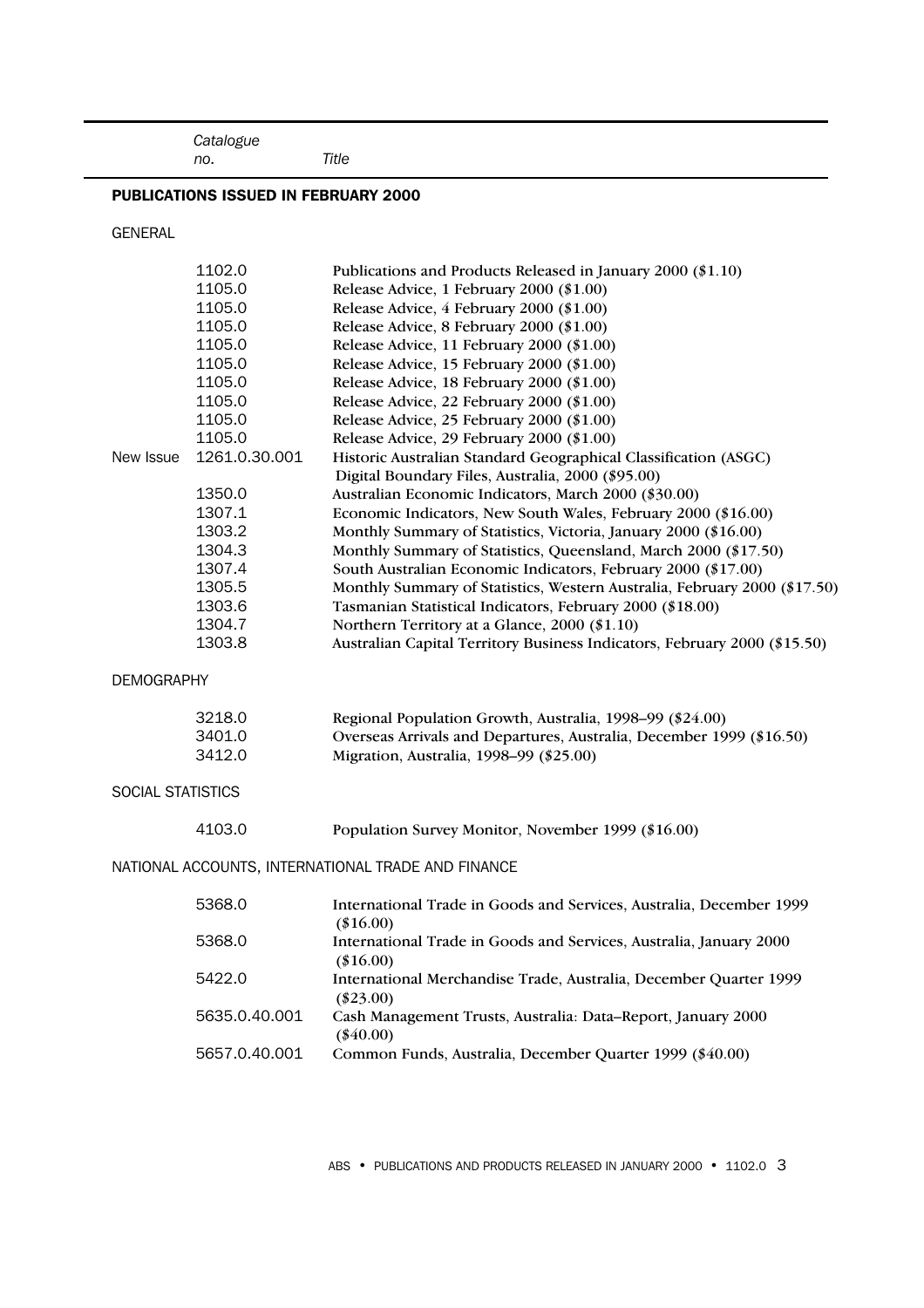*Catalogue*

#### PUBLICATIONS ISSUED IN FEBRUARY 2000

 *no. Title*

GENERAL

|                          | 1102.0        | Publications and Products Released in January 2000 (\$1.10)                                                          |
|--------------------------|---------------|----------------------------------------------------------------------------------------------------------------------|
|                          | 1105.0        | Release Advice, 1 February 2000 (\$1.00)                                                                             |
|                          | 1105.0        | Release Advice, 4 February 2000 (\$1.00)                                                                             |
|                          | 1105.0        | Release Advice, 8 February 2000 (\$1.00)                                                                             |
|                          | 1105.0        | Release Advice, 11 February 2000 (\$1.00)                                                                            |
|                          | 1105.0        | Release Advice, 15 February 2000 (\$1.00)                                                                            |
|                          | 1105.0        | Release Advice, 18 February 2000 (\$1.00)                                                                            |
|                          | 1105.0        | Release Advice, 22 February 2000 (\$1.00)                                                                            |
|                          | 1105.0        | Release Advice, 25 February 2000 (\$1.00)                                                                            |
|                          | 1105.0        | Release Advice, 29 February 2000 (\$1.00)                                                                            |
| New Issue                | 1261.0.30.001 | Historic Australian Standard Geographical Classification (ASGC)<br>Digital Boundary Files, Australia, 2000 (\$95.00) |
|                          | 1350.0        | Australian Economic Indicators, March 2000 (\$30.00)                                                                 |
|                          | 1307.1        | Economic Indicators, New South Wales, February 2000 (\$16.00)                                                        |
|                          | 1303.2        | Monthly Summary of Statistics, Victoria, January 2000 (\$16.00)                                                      |
|                          | 1304.3        | Monthly Summary of Statistics, Queensland, March 2000 (\$17.50)                                                      |
|                          | 1307.4        | South Australian Economic Indicators, February 2000 (\$17.00)                                                        |
|                          | 1305.5        | Monthly Summary of Statistics, Western Australia, February 2000 (\$17.50)                                            |
|                          | 1303.6        | Tasmanian Statistical Indicators, February 2000 (\$18.00)                                                            |
|                          | 1304.7        | Northern Territory at a Glance, 2000 (\$1.10)                                                                        |
|                          | 1303.8        | Australian Capital Territory Business Indicators, February 2000 (\$15.50)                                            |
| <b>DEMOGRAPHY</b>        |               |                                                                                                                      |
|                          |               |                                                                                                                      |
|                          | 3218.0        | Regional Population Growth, Australia, 1998-99 (\$24.00)                                                             |
|                          | 3401.0        | Overseas Arrivals and Departures, Australia, December 1999 (\$16.50)                                                 |
|                          | 3412.0        | Migration, Australia, 1998-99 (\$25.00)                                                                              |
| <b>SOCIAL STATISTICS</b> |               |                                                                                                                      |
|                          | 4103.0        | Population Survey Monitor, November 1999 (\$16.00)                                                                   |
|                          |               | NATIONAL ACCOUNTS, INTERNATIONAL TRADE AND FINANCE                                                                   |
|                          |               |                                                                                                                      |
|                          | 5368.0        | International Trade in Goods and Services, Australia, December 1999<br>$(\$16.00)$                                   |
|                          | 5368.0        | International Trade in Goods and Services, Australia, January 2000<br>$(\$16.00)$                                    |
|                          | 5422.0        | International Merchandise Trade, Australia, December Quarter 1999<br>$(\$23.00)$                                     |
|                          | 5635.0.40.001 | Cash Management Trusts, Australia: Data-Report, January 2000<br>$(\$40.00)$                                          |
|                          | 5657.0.40.001 | Common Funds, Australia, December Quarter 1999 (\$40.00)                                                             |

ABS • PUBLICATIONS AND PRODUCTS RELEASED IN JANUARY 2000 • 1102.0 3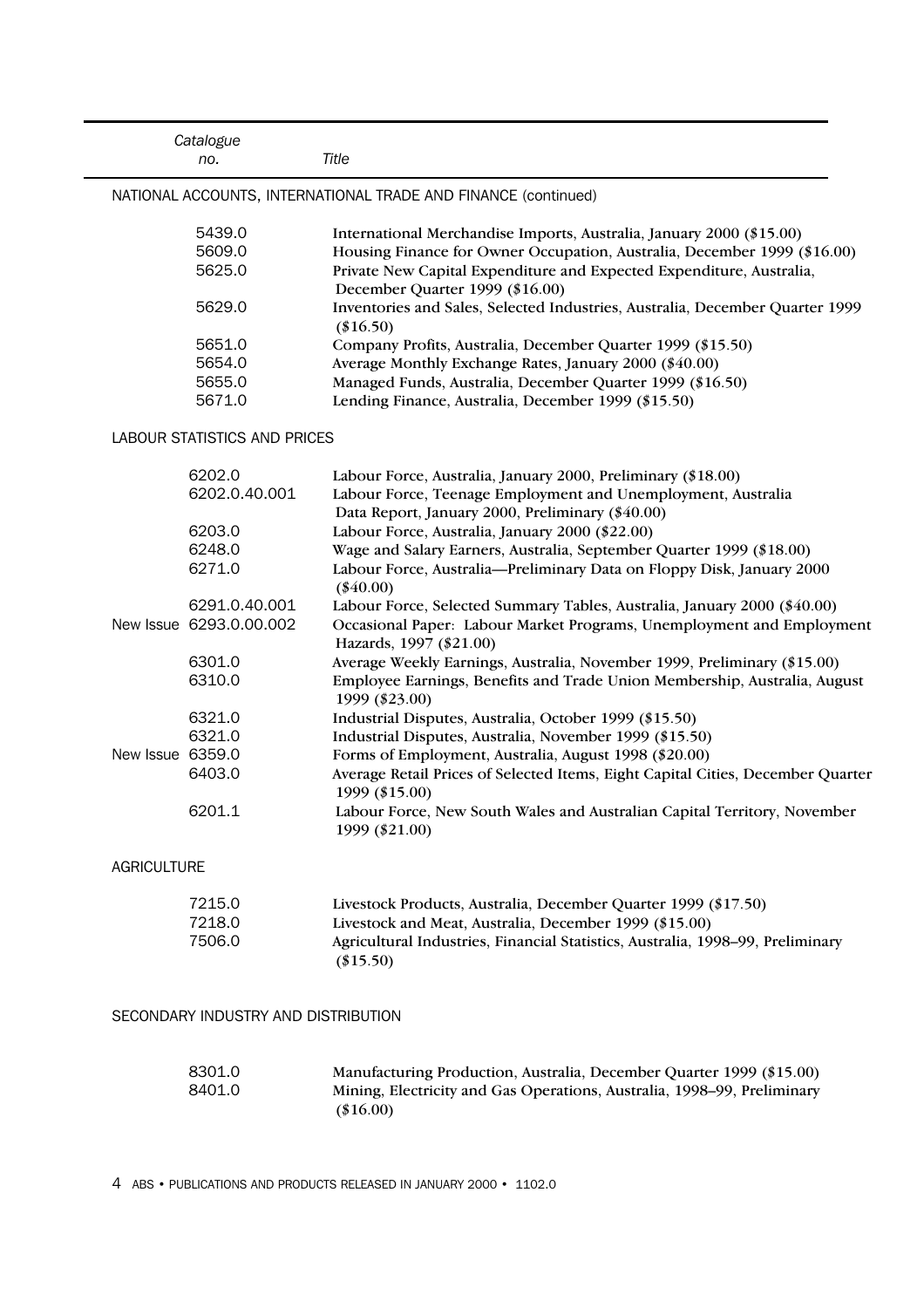|                    | Catalogue<br>no.                    | Title                                                                                                                                                   |
|--------------------|-------------------------------------|---------------------------------------------------------------------------------------------------------------------------------------------------------|
|                    |                                     | NATIONAL ACCOUNTS, INTERNATIONAL TRADE AND FINANCE (continued)                                                                                          |
|                    | 5439.0                              | International Merchandise Imports, Australia, January 2000 (\$15.00)                                                                                    |
|                    | 5609.0                              | Housing Finance for Owner Occupation, Australia, December 1999 (\$16.00)                                                                                |
|                    | 5625.0                              | Private New Capital Expenditure and Expected Expenditure, Australia,<br>December Quarter 1999 (\$16.00)                                                 |
|                    | 5629.0                              | Inventories and Sales, Selected Industries, Australia, December Quarter 1999<br>$(\$16.50)$                                                             |
|                    | 5651.0                              | Company Profits, Australia, December Quarter 1999 (\$15.50)                                                                                             |
|                    | 5654.0                              | Average Monthly Exchange Rates, January 2000 (\$40.00)                                                                                                  |
|                    | 5655.0                              | Managed Funds, Australia, December Quarter 1999 (\$16.50)                                                                                               |
|                    | 5671.0                              | Lending Finance, Australia, December 1999 (\$15.50)                                                                                                     |
|                    | <b>LABOUR STATISTICS AND PRICES</b> |                                                                                                                                                         |
|                    | 6202.0                              | Labour Force, Australia, January 2000, Preliminary (\$18.00)                                                                                            |
|                    | 6202.0.40.001                       | Labour Force, Teenage Employment and Unemployment, Australia<br>Data Report, January 2000, Preliminary (\$40.00)                                        |
|                    | 6203.0                              | Labour Force, Australia, January 2000 (\$22.00)                                                                                                         |
|                    | 6248.0                              | Wage and Salary Earners, Australia, September Quarter 1999 (\$18.00)                                                                                    |
|                    | 6271.0                              | Labour Force, Australia-Preliminary Data on Floppy Disk, January 2000<br>$(\$40.00)$                                                                    |
|                    | 6291.0.40.001                       | Labour Force, Selected Summary Tables, Australia, January 2000 (\$40.00)                                                                                |
|                    | New Issue 6293.0.00.002             | Occasional Paper: Labour Market Programs, Unemployment and Employment<br>Hazards, 1997 (\$21.00)                                                        |
|                    | 6301.0                              | Average Weekly Earnings, Australia, November 1999, Preliminary (\$15.00)                                                                                |
|                    | 6310.0                              | Employee Earnings, Benefits and Trade Union Membership, Australia, August<br>1999 (\$23.00)                                                             |
|                    | 6321.0                              | Industrial Disputes, Australia, October 1999 (\$15.50)                                                                                                  |
|                    | 6321.0                              | Industrial Disputes, Australia, November 1999 (\$15.50)                                                                                                 |
| New Issue 6359.0   |                                     | Forms of Employment, Australia, August 1998 (\$20.00)                                                                                                   |
|                    | 6403.0                              | Average Retail Prices of Selected Items, Eight Capital Cities, December Quarter<br>1999 (\$15.00)                                                       |
|                    | 6201.1                              | Labour Force, New South Wales and Australian Capital Territory, November<br>1999 (\$21.00)                                                              |
| <b>AGRICULTURE</b> |                                     |                                                                                                                                                         |
|                    | 7215.0                              | Livestock Products, Australia, December Quarter 1999 (\$17.50)                                                                                          |
|                    | 7218.0<br>7506.0                    | Livestock and Meat, Australia, December 1999 (\$15.00)<br>Agricultural Industries, Financial Statistics, Australia, 1998-99, Preliminary<br>$(\$15.50)$ |
|                    | SECONDARY INDUSTRY AND DISTRIBUTION |                                                                                                                                                         |
|                    | 8301.0                              | Manufacturing Production, Australia, December Quarter 1999 (\$15.00)                                                                                    |
|                    | 8401.0                              | Mining, Electricity and Gas Operations, Australia, 1998-99, Preliminary<br>$(\$16.00)$                                                                  |

4 ABS • PUBLICATIONS AND PRODUCTS RELEASED IN JANUARY 2000 • 1102.0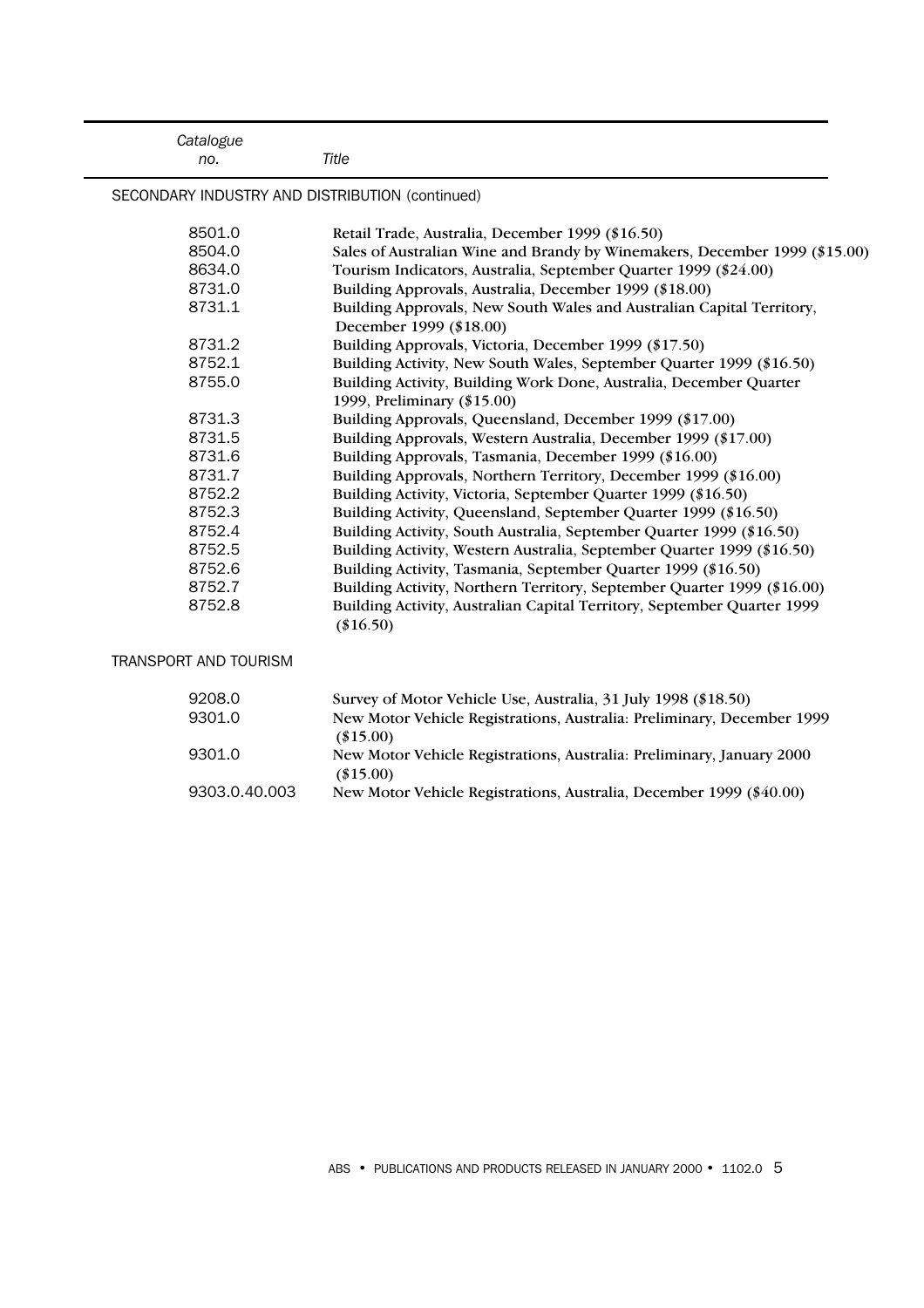| Catalogue<br>no.                                | Title                                                                                             |
|-------------------------------------------------|---------------------------------------------------------------------------------------------------|
| SECONDARY INDUSTRY AND DISTRIBUTION (continued) |                                                                                                   |
| 8501.0                                          | Retail Trade, Australia, December 1999 (\$16.50)                                                  |
| 8504.0                                          | Sales of Australian Wine and Brandy by Winemakers, December 1999 (\$15.00)                        |
| 8634.0                                          | Tourism Indicators, Australia, September Quarter 1999 (\$24.00)                                   |
| 8731.0                                          | Building Approvals, Australia, December 1999 (\$18.00)                                            |
| 8731.1                                          | Building Approvals, New South Wales and Australian Capital Territory,<br>December 1999 (\$18.00)  |
| 8731.2                                          | Building Approvals, Victoria, December 1999 (\$17.50)                                             |
| 8752.1                                          | Building Activity, New South Wales, September Quarter 1999 (\$16.50)                              |
| 8755.0                                          | Building Activity, Building Work Done, Australia, December Quarter<br>1999, Preliminary (\$15.00) |
| 8731.3                                          | Building Approvals, Queensland, December 1999 (\$17.00)                                           |
| 8731.5                                          | Building Approvals, Western Australia, December 1999 (\$17.00)                                    |
| 8731.6                                          | Building Approvals, Tasmania, December 1999 (\$16.00)                                             |
| 8731.7                                          | Building Approvals, Northern Territory, December 1999 (\$16.00)                                   |
| 8752.2                                          | Building Activity, Victoria, September Quarter 1999 (\$16.50)                                     |
| 8752.3                                          | Building Activity, Queensland, September Quarter 1999 (\$16.50)                                   |
| 8752.4                                          | Building Activity, South Australia, September Quarter 1999 (\$16.50)                              |
| 8752.5                                          | Building Activity, Western Australia, September Quarter 1999 (\$16.50)                            |
| 8752.6                                          | Building Activity, Tasmania, September Quarter 1999 (\$16.50)                                     |
| 8752.7                                          | Building Activity, Northern Territory, September Quarter 1999 (\$16.00)                           |
| 8752.8                                          | Building Activity, Australian Capital Territory, September Quarter 1999<br>$(\$16.50)$            |
| <b>TRANSPORT AND TOURISM</b>                    |                                                                                                   |
| 9208.0                                          | Survey of Motor Vehicle Use, Australia, 31 July 1998 (\$18.50)                                    |
| 9301.0                                          | New Motor Vehicle Registrations, Australia: Preliminary, December 1999<br>$(\$15.00)$             |
| 9301.0                                          | New Motor Vehicle Registrations, Australia: Preliminary, January 2000<br>$(\$15.00)$              |
| 9303.0.40.003                                   | New Motor Vehicle Registrations, Australia, December 1999 (\$40.00)                               |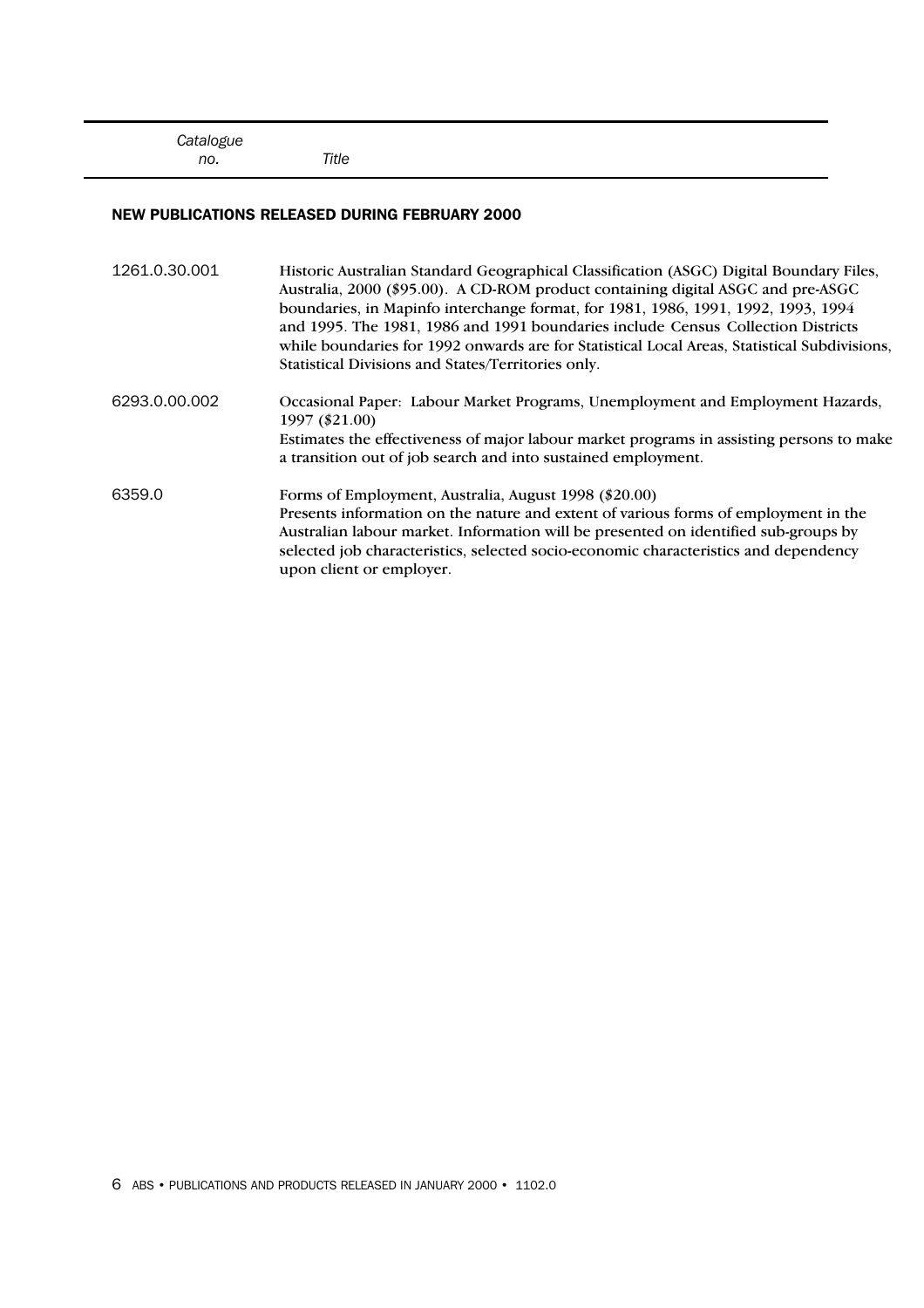#### NEW PUBLICATIONS RELEASED DURING FEBRUARY 2000

 *no. Title*

| 1261.0.30.001 | Historic Australian Standard Geographical Classification (ASGC) Digital Boundary Files,<br>Australia, 2000 (\$95.00). A CD-ROM product containing digital ASGC and pre-ASGC<br>boundaries, in Mapinfo interchange format, for 1981, 1986, 1991, 1992, 1993, 1994<br>and 1995. The 1981, 1986 and 1991 boundaries include Census Collection Districts<br>while boundaries for 1992 onwards are for Statistical Local Areas, Statistical Subdivisions,<br>Statistical Divisions and States/Territories only. |
|---------------|------------------------------------------------------------------------------------------------------------------------------------------------------------------------------------------------------------------------------------------------------------------------------------------------------------------------------------------------------------------------------------------------------------------------------------------------------------------------------------------------------------|
| 6293.0.00.002 | Occasional Paper: Labour Market Programs, Unemployment and Employment Hazards,<br>1997 (\$21.00)<br>Estimates the effectiveness of major labour market programs in assisting persons to make<br>a transition out of job search and into sustained employment.                                                                                                                                                                                                                                              |
| 6359.0        | Forms of Employment, Australia, August 1998 (\$20.00)<br>Presents information on the nature and extent of various forms of employment in the<br>Australian labour market. Information will be presented on identified sub-groups by<br>selected job characteristics, selected socio-economic characteristics and dependency<br>upon client or employer.                                                                                                                                                    |